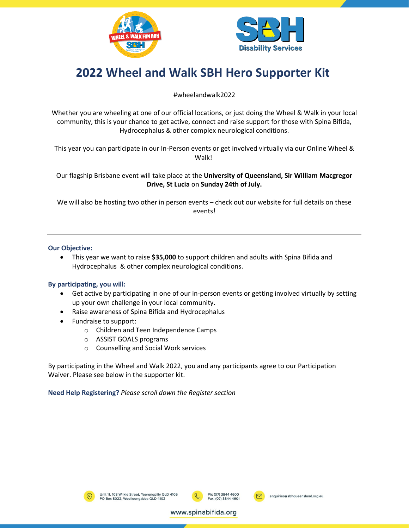



# **2022 Wheel and Walk SBH Hero Supporter Kit**

### #wheelandwalk2022

Whether you are wheeling at one of our official locations, or just doing the Wheel & Walk in your local community, this is your chance to get active, connect and raise support for those with Spina Bifida, Hydrocephalus & other complex neurological conditions.

This year you can participate in our In-Person events or get involved virtually via our Online Wheel & Walk!

Our flagship Brisbane event will take place at the **University of Queensland, Sir William Macgregor Drive, St Lucia** on **Sunday 24th of July.**

We will also be hosting two other in person events – check out our website for full details on these events!

### **Our Objective:**

• This year we want to raise **\$35,000** to support children and adults with Spina Bifida and Hydrocephalus & other complex neurological conditions.

### **By participating, you will:**

- Get active by participating in one of our in-person events or getting involved virtually by setting up your own challenge in your local community.
- Raise awareness of Spina Bifida and Hydrocephalus
- Fundraise to support:
	- o Children and Teen Independence Camps
	- o ASSIST GOALS programs
	- o Counselling and Social Work services

By participating in the Wheel and Walk 2022, you and any participants agree to our Participation Waiver. Please see below in the supporter kit.

**Need Help Registering?** *Please scroll down the Register section*





www.spinabifida.org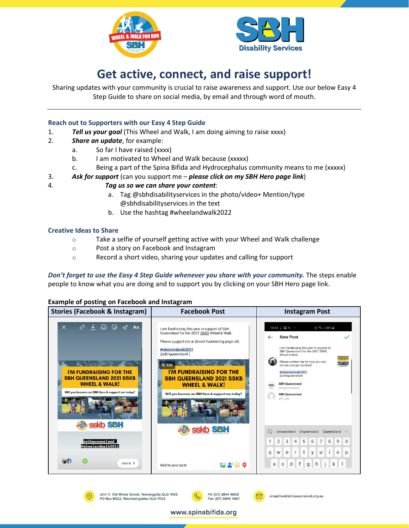



# **Get active, connect, and raise support!**

Sharing updates with your community is crucial to raise awareness and support. Use our below Easy 4 Step Guide to share on social media, by email and through word of mouth.

### **Reach out to Supporters with our Easy 4 Step Guide**

- 1. *Tell us your goal* (This Wheel and Walk, I am doing aiming to raise xxxx)
- 2. *Share an update*, for example:
	- a. So far I have raised (xxxx)
	- b. I am motivated to Wheel and Walk because (xxxxx)
	- c. Being a part of the Spina Bifida and Hydrocephalus community means to me (xxxxx)
- 3. *Ask for support* (can you support me *please click on my SBH Hero page link*)

### 4. *Tag us so we can share your content*:

- a. Tag @sbhdisabilityservices in the photo/video+ Mention/type @sbhdisabilityservices in the text
- b. Use the hashtag #wheelandwalk2022

### **Creative Ideas to Share**

- o Take a selfie of yourself getting active with your Wheel and Walk challenge
- o Post a story on Facebook and Instagram

Unit 11, 108 Wilkie Street, Yeerongpilly QLD 4105<br>PO Box 8022, Woolloongabba QLD 4102

o Record a short video, sharing your updates and calling for support

*Don't forget to use the Easy 4 Step Guide whenever you share with your community.* The steps enable people to know what you are doing and to support you by clicking on your SBH Hero page link.

#### **Example of posting on Facebook and Instagram**



Ph: (07) 3844 4600

Fax: (07) 3844 4601

www.spinabifida.org

enquiries@sbhqueensland.org.au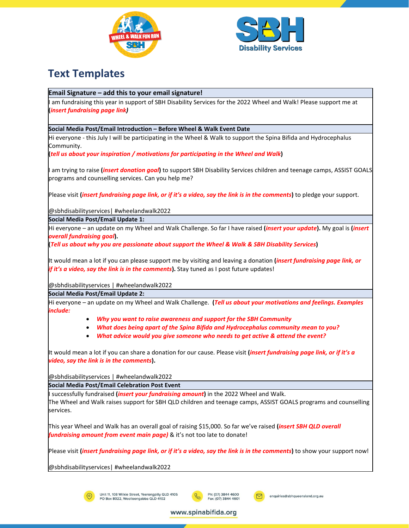



## **Text Templates**

### **Email Signature – add this to your email signature!**

am fundraising this year in support of SBH Disability Services for the 2022 Wheel and Walk! Please support me at **(***insert fundraising page link)*

#### **Social Media Post/Email Introduction – Before Wheel & Walk Event Date**

Hi everyone - this July I will be participating in the Wheel & Walk to support the Spina Bifida and Hydrocephalus Community.

**(***tell us about your inspiration / motivations for participating in the Wheel and Walk***)** 

I am trying to raise **(***insert donation goal***)** to support SBH Disability Services children and teenage camps, ASSIST GOALS programs and counselling services. Can you help me?

Please visit **(***insert fundraising page link, or if it's a video, say the link is in the comments***)** to pledge your support.

@sbhdisabilityservices| #wheelandwalk2022

**Social Media Post/Email Update 1:** 

Hi everyone – an update on my Wheel and Walk Challenge. So far I have raised **(***insert your update***).** My goal is **(***insert overall fundraising goal***).**

**(***Tell us about why you are passionate about support the Wheel & Walk & SBH Disability Services***)** 

It would mean a lot if you can please support me by visiting and leaving a donation **(***insert fundraising page link, or if it's a video, say the link is in the comments***).** Stay tuned as I post future updates!

@sbhdisabilityservices | #wheelandwalk2022

**Social Media Post/Email Update 2:**

Hi everyone – an update on my Wheel and Walk Challenge. **(***Tell us about your motivations and feelings. Examples include:*

- *Why you want to raise awareness and support for the SBH Community*
- *What does being apart of the Spina Bifida and Hydrocephalus community mean to you?*
- *What advice would you give someone who needs to get active & attend the event?*

It would mean a lot if you can share a donation for our cause. Please visit **(***insert fundraising page link, or if it's a video, say the link is in the comments***).**

@sbhdisabilityservices | #wheelandwalk2022

**Social Media Post/Email Celebration Post Event**

I successfully fundraised **(***insert your fundraising amount***)** in the 2022 Wheel and Walk.

The Wheel and Walk raises support for SBH QLD children and teenage camps, ASSIST GOALS programs and counselling services.

This year Wheel and Walk has an overall goal of raising \$15,000. So far we've raised **(***insert SBH QLD overall fundraising amount from event main page)* & it's not too late to donate!

Please visit **(***insert fundraising page link, or if it's a video, say the link is in the comments***)** to show your support now!

www.spinabifida.org

@sbhdisabilityservices| #wheelandwalk2022